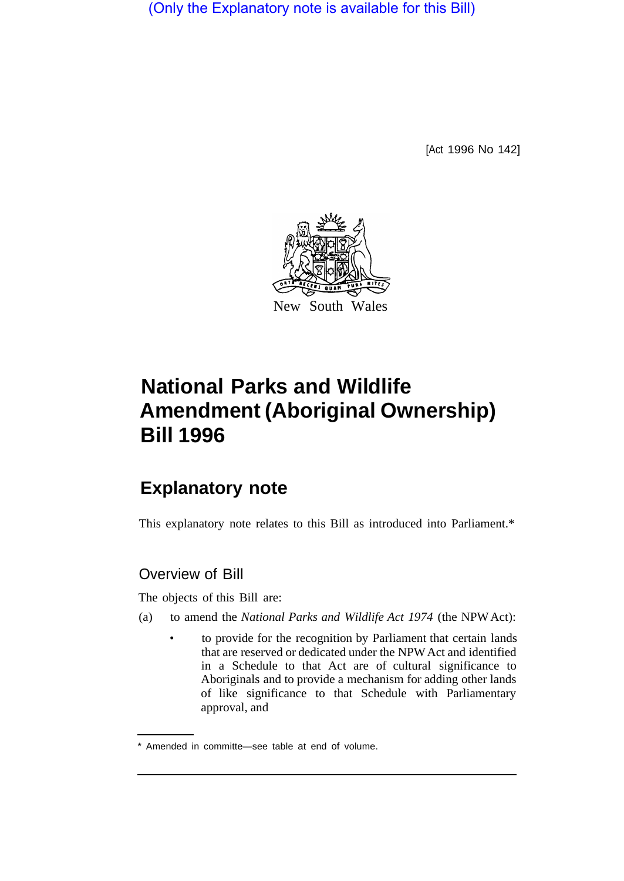(Only the Explanatory note is available for this Bill)

[Act 1996 No 142]



# **National Parks and Wildlife Amendment (Aboriginal Ownership) Bill 1996**

# **Explanatory note**

This explanatory note relates to this Bill as introduced into Parliament.\*

# Overview of Bill

The objects of this Bill are:

- (a) to amend the *National Parks and Wildlife Act 1974* (the NPW Act):
	- to provide for the recognition by Parliament that certain lands that are reserved or dedicated under the NPW Act and identified in a Schedule to that Act are of cultural significance to Aboriginals and to provide a mechanism for adding other lands of like significance to that Schedule with Parliamentary approval, and

<sup>\*</sup> Amended in committe—see table at end of volume.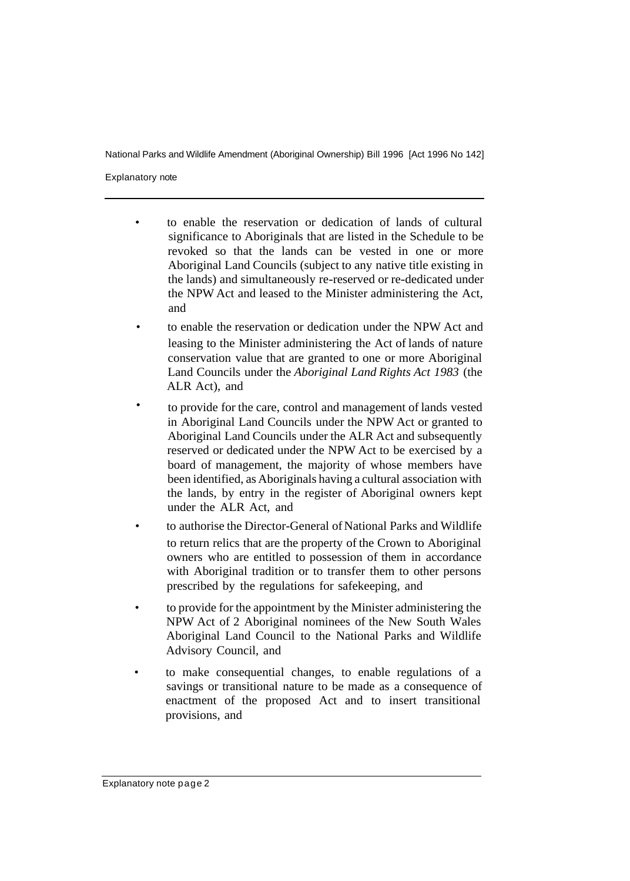Explanatory note

- to enable the reservation or dedication of lands of cultural significance to Aboriginals that are listed in the Schedule to be revoked so that the lands can be vested in one or more Aboriginal Land Councils (subject to any native title existing in the lands) and simultaneously re-reserved or re-dedicated under the NPW Act and leased to the Minister administering the Act, and
- to enable the reservation or dedication under the NPW Act and leasing to the Minister administering the Act of lands of nature conservation value that are granted to one or more Aboriginal Land Councils under the *Aboriginal Land Rights Act 1983* (the ALR Act), and
- to provide for the care, control and management of lands vested in Aboriginal Land Councils under the NPW Act or granted to Aboriginal Land Councils under the ALR Act and subsequently reserved or dedicated under the NPW Act to be exercised by a board of management, the majority of whose members have been identified, as Aboriginals having a cultural association with the lands, by entry in the register of Aboriginal owners kept under the ALR Act, and
- to authorise the Director-General of National Parks and Wildlife to return relics that are the property of the Crown to Aboriginal owners who are entitled to possession of them in accordance with Aboriginal tradition or to transfer them to other persons prescribed by the regulations for safekeeping, and
- to provide for the appointment by the Minister administering the NPW Act of 2 Aboriginal nominees of the New South Wales Aboriginal Land Council to the National Parks and Wildlife Advisory Council, and
- to make consequential changes, to enable regulations of a savings or transitional nature to be made as a consequence of enactment of the proposed Act and to insert transitional provisions, and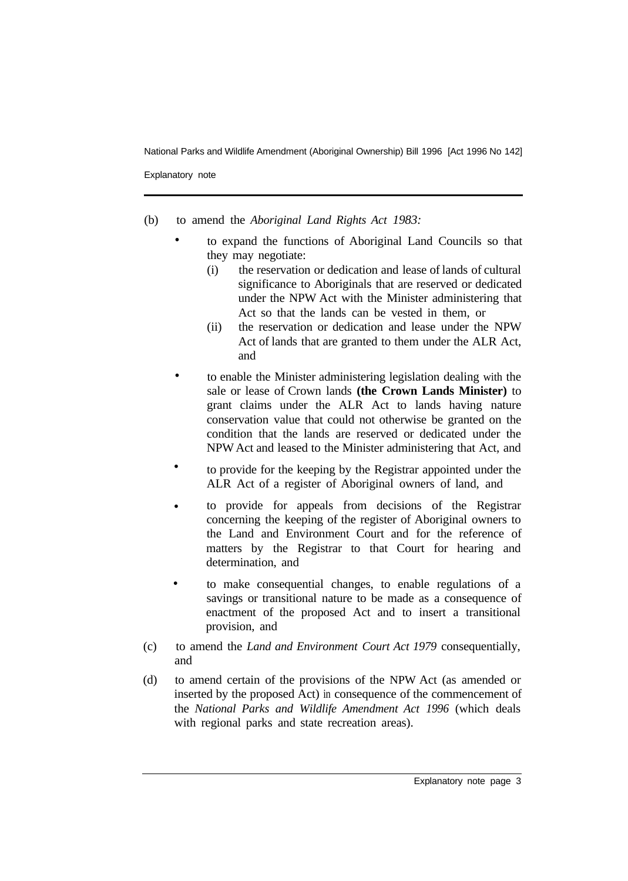Explanatory note

- (b) to amend the *Aboriginal Land Rights Act 1983:* 
	- to expand the functions of Aboriginal Land Councils so that they may negotiate: •
		- (i) the reservation or dedication and lease of lands of cultural significance to Aboriginals that are reserved or dedicated under the NPW Act with the Minister administering that Act so that the lands can be vested in them, or
		- (ii) the reservation or dedication and lease under the NPW Act of lands that are granted to them under the ALR Act, and
	- to enable the Minister administering legislation dealing with the sale or lease of Crown lands **(the Crown Lands Minister)** to grant claims under the ALR Act to lands having nature conservation value that could not otherwise be granted on the condition that the lands are reserved or dedicated under the NPW Act and leased to the Minister administering that Act, and •
	- to provide for the keeping by the Registrar appointed under the ALR Act of a register of Aboriginal owners of land, and •
	- to provide for appeals from decisions of the Registrar concerning the keeping of the register of Aboriginal owners to the Land and Environment Court and for the reference of matters by the Registrar to that Court for hearing and determination, and •
	- to make consequential changes, to enable regulations of a savings or transitional nature to be made as a consequence of enactment of the proposed Act and to insert a transitional provision, and •
- (c) to amend the *Land and Environment Court Act 1979* consequentially, and
- (d) to amend certain of the provisions of the NPW Act (as amended or inserted by the proposed Act) in consequence of the commencement of the *National Parks and Wildlife Amendment Act 1996* (which deals with regional parks and state recreation areas).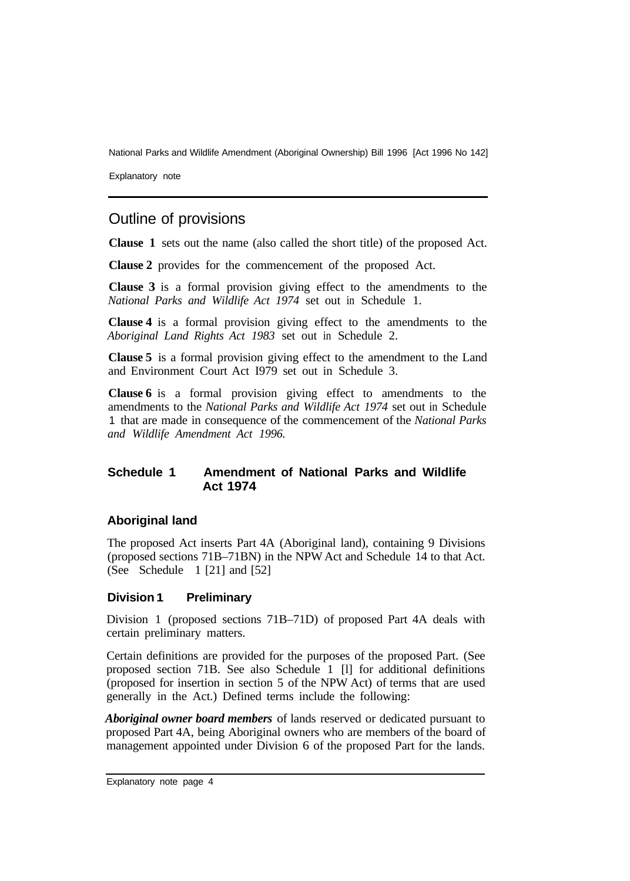Explanatory note

# Outline of provisions

**Clause 1** sets out the name (also called the short title) of the proposed Act.

**Clause 2** provides for the commencement of the proposed Act.

**Clause 3** is a formal provision giving effect to the amendments to the *National Parks and Wildlife Act 1974* set out in Schedule 1.

**Clause 4** is a formal provision giving effect to the amendments to the *Aboriginal Land Rights Act 1983* set out in Schedule 2.

**Clause 5** is a formal provision giving effect to the amendment to the Land and Environment Court Act I979 set out in Schedule 3.

**Clause 6** is a formal provision giving effect to amendments to the amendments to the *National Parks and Wildlife Act 1974* set out in Schedule 1 that are made in consequence of the commencement of the *National Parks and Wildlife Amendment Act 1996.* 

#### **Schedule 1 Amendment of National Parks and Wildlife Act 1974**

#### **Aboriginal land**

The proposed Act inserts Part 4A (Aboriginal land), containing 9 Divisions (proposed sections 71B–71BN) in the NPW Act and Schedule 14 to that Act. (See Schedule 1 [21] and [52]

#### **Division 1 Preliminary**

Division 1 (proposed sections 71B–71D) of proposed Part 4A deals with certain preliminary matters.

Certain definitions are provided for the purposes of the proposed Part. (See proposed section 71B. See also Schedule 1 [l] for additional definitions (proposed for insertion in section 5 of the NPW Act) of terms that are used generally in the Act.) Defined terms include the following:

*Aboriginal owner board members* of lands reserved or dedicated pursuant to proposed Part 4A, being Aboriginal owners who are members of the board of management appointed under Division 6 of the proposed Part for the lands.

Explanatory note page 4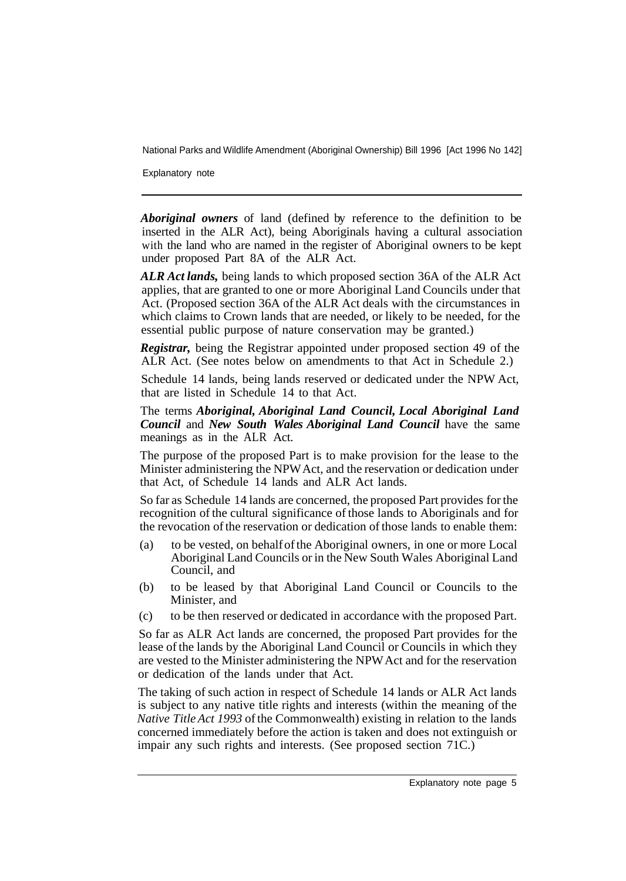Explanatory note

*Aboriginal owners* of land (defined by reference to the definition to be inserted in the ALR Act), being Aboriginals having a cultural association with the land who are named in the register of Aboriginal owners to be kept under proposed Part 8A of the ALR Act.

*ALR Act lands,* being lands to which proposed section 36A of the ALR Act applies, that are granted to one or more Aboriginal Land Councils under that Act. (Proposed section 36A of the ALR Act deals with the circumstances in which claims to Crown lands that are needed, or likely to be needed, for the essential public purpose of nature conservation may be granted.)

*Registrar,* being the Registrar appointed under proposed section 49 of the ALR Act. (See notes below on amendments to that Act in Schedule 2.)

Schedule 14 lands, being lands reserved or dedicated under the NPW Act, that are listed in Schedule 14 to that Act.

The terms *Aboriginal, Aboriginal Land Council, Local Aboriginal Land Council* and *New South Wales Aboriginal Land Council* have the same meanings as in the ALR Act.

The purpose of the proposed Part is to make provision for the lease to the Minister administering the NPW Act, and the reservation or dedication under that Act, of Schedule 14 lands and ALR Act lands.

So far as Schedule 14 lands are concerned, the proposed Part provides for the recognition of the cultural significance of those lands to Aboriginals and for the revocation of the reservation or dedication of those lands to enable them:

- (a) to be vested, on behalf of the Aboriginal owners, in one or more Local Aboriginal Land Councils or in the New South Wales Aboriginal Land Council, and
- (b) to be leased by that Aboriginal Land Council or Councils to the Minister, and
- (c) to be then reserved or dedicated in accordance with the proposed Part.

So far as ALR Act lands are concerned, the proposed Part provides for the lease of the lands by the Aboriginal Land Council or Councils in which they are vested to the Minister administering the NPW Act and for the reservation or dedication of the lands under that Act.

The taking of such action in respect of Schedule 14 lands or ALR Act lands is subject to any native title rights and interests (within the meaning of the *Native Title Act 1993* of the Commonwealth) existing in relation to the lands concerned immediately before the action is taken and does not extinguish or impair any such rights and interests. (See proposed section 71C.)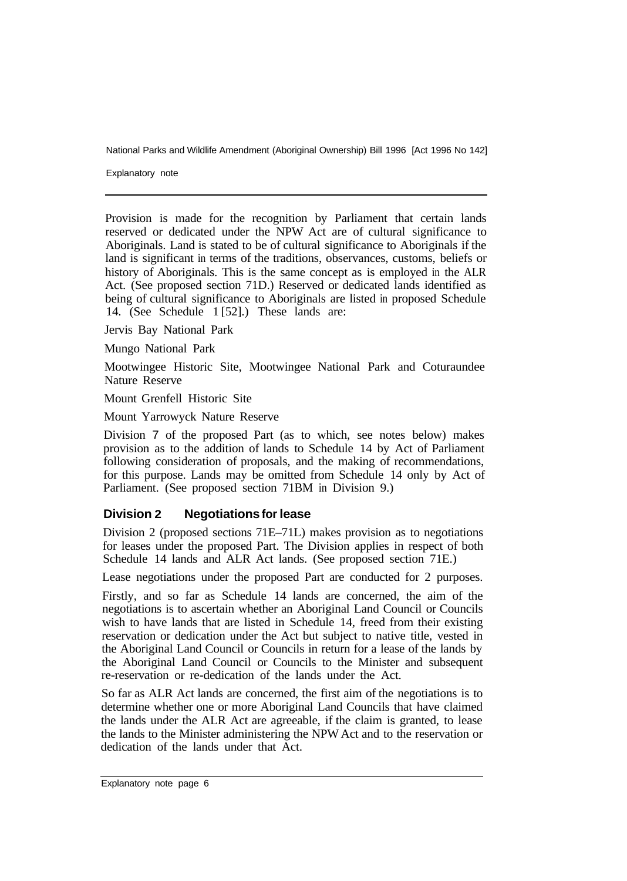Explanatory note

Provision is made for the recognition by Parliament that certain lands reserved or dedicated under the NPW Act are of cultural significance to Aboriginals. Land is stated to be of cultural significance to Aboriginals if the land is significant in terms of the traditions, observances, customs, beliefs or history of Aboriginals. This is the same concept as is employed in the ALR Act. (See proposed section 71D.) Reserved or dedicated lands identified as being of cultural significance to Aboriginals are listed in proposed Schedule 14. (See Schedule 1 [52].) These lands are:

Jervis Bay National Park

Mungo National Park

Mootwingee Historic Site, Mootwingee National Park and Coturaundee Nature Reserve

Mount Grenfell Historic Site

Mount Yarrowyck Nature Reserve

Division 7 of the proposed Part (as to which, see notes below) makes provision as to the addition of lands to Schedule 14 by Act of Parliament following consideration of proposals, and the making of recommendations, for this purpose. Lands may be omitted from Schedule 14 only by Act of Parliament. (See proposed section 71BM in Division 9.)

#### **Division 2 Negotiations for lease**

Division 2 (proposed sections 71E–71L) makes provision as to negotiations for leases under the proposed Part. The Division applies in respect of both Schedule 14 lands and ALR Act lands. (See proposed section 71E.)

Lease negotiations under the proposed Part are conducted for 2 purposes.

Firstly, and so far as Schedule 14 lands are concerned, the aim of the negotiations is to ascertain whether an Aboriginal Land Council or Councils wish to have lands that are listed in Schedule 14, freed from their existing reservation or dedication under the Act but subject to native title, vested in the Aboriginal Land Council or Councils in return for a lease of the lands by the Aboriginal Land Council or Councils to the Minister and subsequent re-reservation or re-dedication of the lands under the Act.

So far as ALR Act lands are concerned, the first aim of the negotiations is to determine whether one or more Aboriginal Land Councils that have claimed the lands under the ALR Act are agreeable, if the claim is granted, to lease the lands to the Minister administering the NPW Act and to the reservation or dedication of the lands under that Act.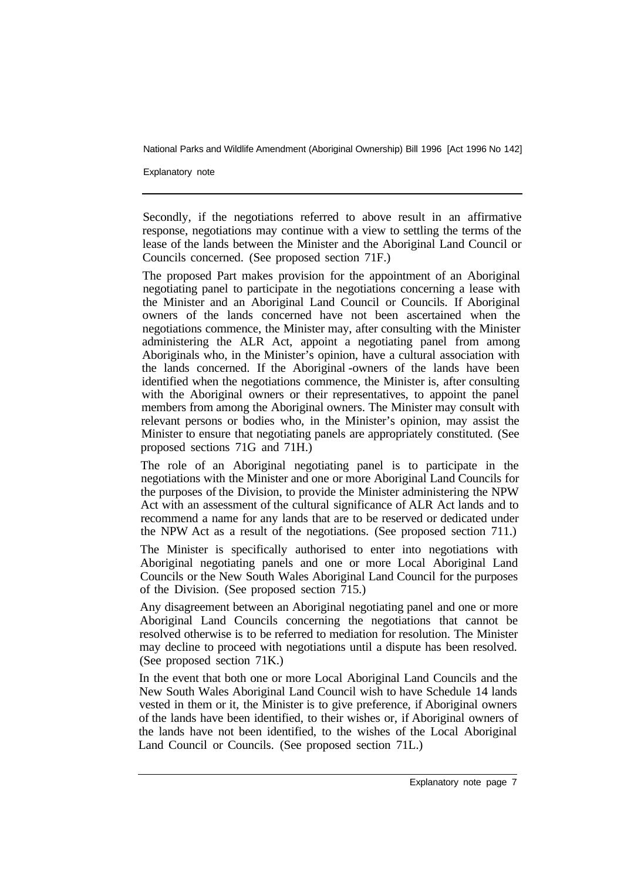Explanatory note

Secondly, if the negotiations referred to above result in an affirmative response, negotiations may continue with a view to settling the terms of the lease of the lands between the Minister and the Aboriginal Land Council or Councils concerned. (See proposed section 71F.)

The proposed Part makes provision for the appointment of an Aboriginal negotiating panel to participate in the negotiations concerning a lease with the Minister and an Aboriginal Land Council or Councils. If Aboriginal owners of the lands concerned have not been ascertained when the negotiations commence, the Minister may, after consulting with the Minister administering the ALR Act, appoint a negotiating panel from among Aboriginals who, in the Minister's opinion, have a cultural association with the lands concerned. If the Aboriginal -owners of the lands have been identified when the negotiations commence, the Minister is, after consulting with the Aboriginal owners or their representatives, to appoint the panel members from among the Aboriginal owners. The Minister may consult with relevant persons or bodies who, in the Minister's opinion, may assist the Minister to ensure that negotiating panels are appropriately constituted. (See proposed sections 71G and 71H.)

The role of an Aboriginal negotiating panel is to participate in the negotiations with the Minister and one or more Aboriginal Land Councils for the purposes of the Division, to provide the Minister administering the NPW Act with an assessment of the cultural significance of ALR Act lands and to recommend a name for any lands that are to be reserved or dedicated under the NPW Act as a result of the negotiations. (See proposed section 711.)

The Minister is specifically authorised to enter into negotiations with Aboriginal negotiating panels and one or more Local Aboriginal Land Councils or the New South Wales Aboriginal Land Council for the purposes of the Division. (See proposed section 715.)

Any disagreement between an Aboriginal negotiating panel and one or more Aboriginal Land Councils concerning the negotiations that cannot be resolved otherwise is to be referred to mediation for resolution. The Minister may decline to proceed with negotiations until a dispute has been resolved. (See proposed section 71K.)

In the event that both one or more Local Aboriginal Land Councils and the New South Wales Aboriginal Land Council wish to have Schedule 14 lands vested in them or it, the Minister is to give preference, if Aboriginal owners of the lands have been identified, to their wishes or, if Aboriginal owners of the lands have not been identified, to the wishes of the Local Aboriginal Land Council or Councils. (See proposed section 71L.)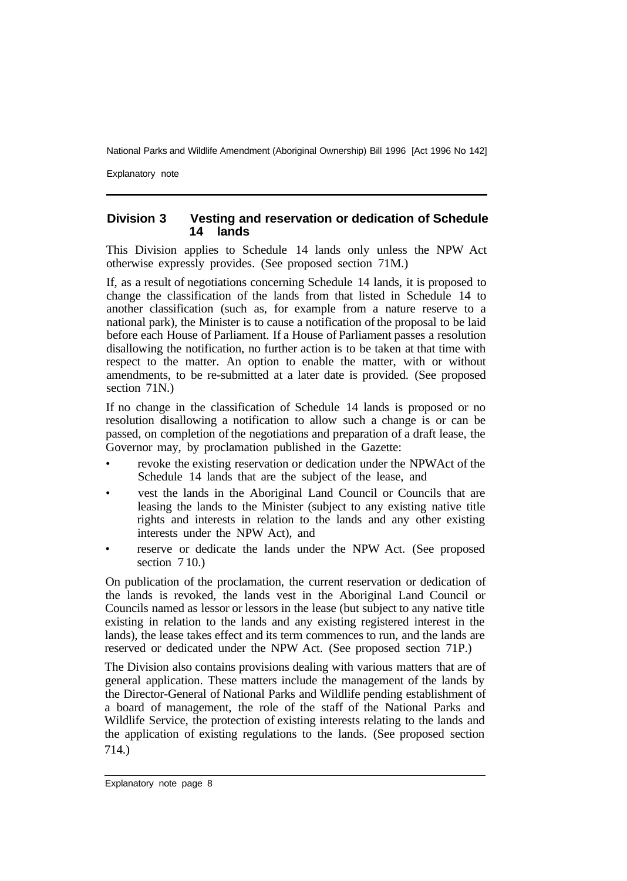Explanatory note

#### **Division 3 Vesting and reservation or dedication of Schedule 14 lands**

This Division applies to Schedule 14 lands only unless the NPW Act otherwise expressly provides. (See proposed section 71M.)

If, as a result of negotiations concerning Schedule 14 lands, it is proposed to change the classification of the lands from that listed in Schedule 14 to another classification (such as, for example from a nature reserve to a national park), the Minister is to cause a notification of the proposal to be laid before each House of Parliament. If a House of Parliament passes a resolution disallowing the notification, no further action is to be taken at that time with respect to the matter. An option to enable the matter, with or without amendments, to be re-submitted at a later date is provided. (See proposed section 71N.)

If no change in the classification of Schedule 14 lands is proposed or no resolution disallowing a notification to allow such a change is or can be passed, on completion of the negotiations and preparation of a draft lease, the Governor may, by proclamation published in the Gazette:

- revoke the existing reservation or dedication under the NPW Act of the Schedule 14 lands that are the subject of the lease, and
- vest the lands in the Aboriginal Land Council or Councils that are leasing the lands to the Minister (subject to any existing native title rights and interests in relation to the lands and any other existing interests under the NPW Act), and
- reserve or dedicate the lands under the NPW Act. (See proposed section 710.)

On publication of the proclamation, the current reservation or dedication of the lands is revoked, the lands vest in the Aboriginal Land Council or Councils named as lessor or lessors in the lease (but subject to any native title existing in relation to the lands and any existing registered interest in the lands), the lease takes effect and its term commences to run, and the lands are reserved or dedicated under the NPW Act. (See proposed section 71P.)

The Division also contains provisions dealing with various matters that are of general application. These matters include the management of the lands by the Director-General of National Parks and Wildlife pending establishment of a board of management, the role of the staff of the National Parks and Wildlife Service, the protection of existing interests relating to the lands and the application of existing regulations to the lands. (See proposed section 714.)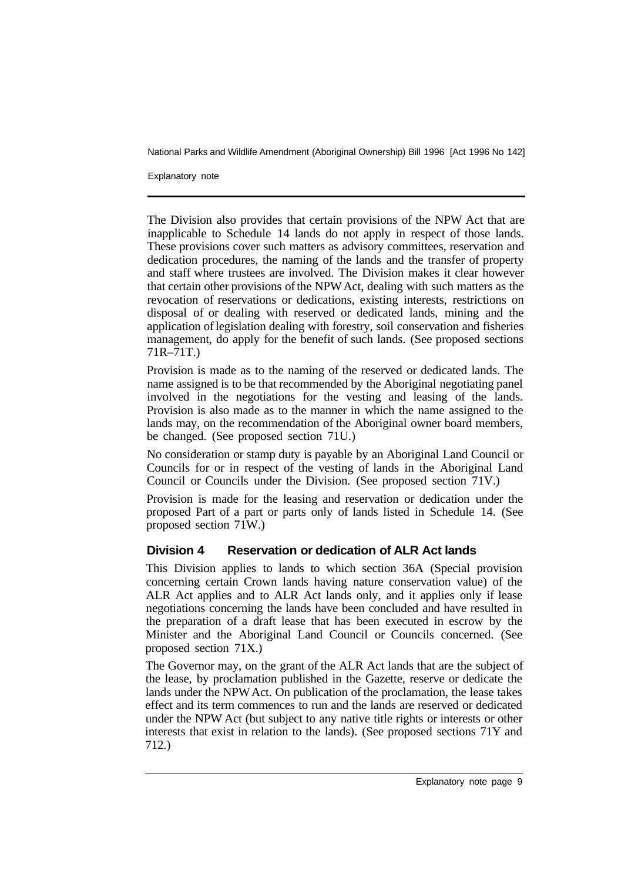Explanatory note

The Division also provides that certain provisions of the NPW Act that are inapplicable to Schedule 14 lands do not apply in respect of those lands. These provisions cover such matters as advisory committees, reservation and dedication procedures, the naming of the lands and the transfer of property and staff where trustees are involved. The Division makes it clear however that certain other provisions of the NPW Act, dealing with such matters as the revocation of reservations or dedications, existing interests, restrictions on disposal of or dealing with reserved or dedicated lands, mining and the application of legislation dealing with forestry, soil conservation and fisheries management, do apply for the benefit of such lands. (See proposed sections 71R–71T.)

Provision is made as to the naming of the reserved or dedicated lands. The name assigned is to be that recommended by the Aboriginal negotiating panel involved in the negotiations for the vesting and leasing of the lands. Provision is also made as to the manner in which the name assigned to the lands may, on the recommendation of the Aboriginal owner board members, be changed. (See proposed section 71U.)

No consideration or stamp duty is payable by an Aboriginal Land Council or Councils for or in respect of the vesting of lands in the Aboriginal Land Council or Councils under the Division. (See proposed section 71V.)

Provision is made for the leasing and reservation or dedication under the proposed Part of a part or parts only of lands listed in Schedule 14. (See proposed section 71W.)

# **Division 4 Reservation or dedication of ALR Act lands**

This Division applies to lands to which section 36A (Special provision concerning certain Crown lands having nature conservation value) of the ALR Act applies and to ALR Act lands only, and it applies only if lease negotiations concerning the lands have been concluded and have resulted in the preparation of a draft lease that has been executed in escrow by the Minister and the Aboriginal Land Council or Councils concerned. (See proposed section 71X.)

The Governor may, on the grant of the ALR Act lands that are the subject of the lease, by proclamation published in the Gazette, reserve or dedicate the lands under the NPW Act. On publication of the proclamation, the lease takes effect and its term commences to run and the lands are reserved or dedicated under the NPW Act (but subject to any native title rights or interests or other interests that exist in relation to the lands). (See proposed sections 71Y and 712.)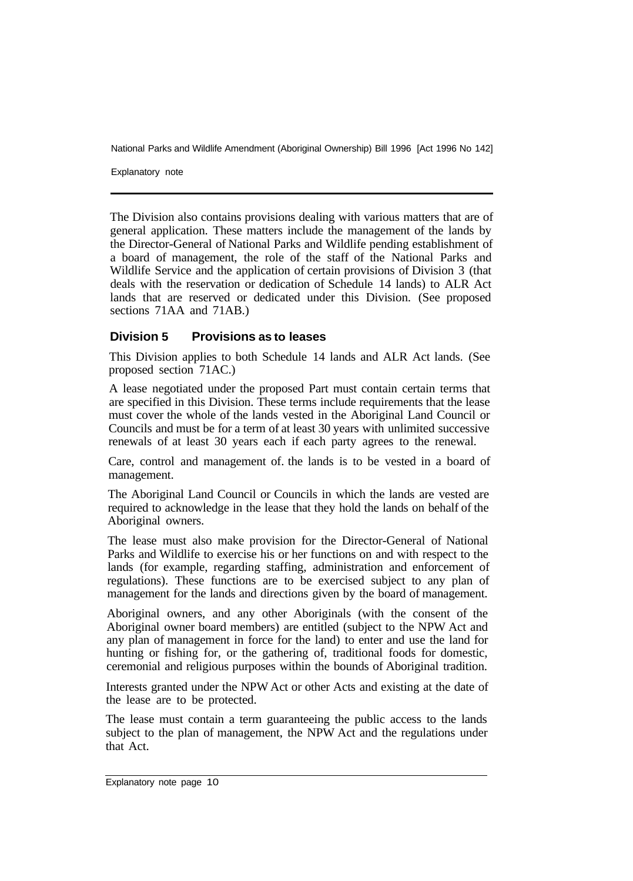Explanatory note

The Division also contains provisions dealing with various matters that are of general application. These matters include the management of the lands by the Director-General of National Parks and Wildlife pending establishment of a board of management, the role of the staff of the National Parks and Wildlife Service and the application of certain provisions of Division 3 (that deals with the reservation or dedication of Schedule 14 lands) to ALR Act lands that are reserved or dedicated under this Division. (See proposed sections 71AA and 71AB.)

#### **Division 5 Provisions as to leases**

This Division applies to both Schedule 14 lands and ALR Act lands. (See proposed section 71AC.)

A lease negotiated under the proposed Part must contain certain terms that are specified in this Division. These terms include requirements that the lease must cover the whole of the lands vested in the Aboriginal Land Council or Councils and must be for a term of at least 30 years with unlimited successive renewals of at least 30 years each if each party agrees to the renewal.

Care, control and management of. the lands is to be vested in a board of management.

The Aboriginal Land Council or Councils in which the lands are vested are required to acknowledge in the lease that they hold the lands on behalf of the Aboriginal owners.

The lease must also make provision for the Director-General of National Parks and Wildlife to exercise his or her functions on and with respect to the lands (for example, regarding staffing, administration and enforcement of regulations). These functions are to be exercised subject to any plan of management for the lands and directions given by the board of management.

Aboriginal owners, and any other Aboriginals (with the consent of the Aboriginal owner board members) are entitled (subject to the NPW Act and any plan of management in force for the land) to enter and use the land for hunting or fishing for, or the gathering of, traditional foods for domestic, ceremonial and religious purposes within the bounds of Aboriginal tradition.

Interests granted under the NPW Act or other Acts and existing at the date of the lease are to be protected.

The lease must contain a term guaranteeing the public access to the lands subject to the plan of management, the NPW Act and the regulations under that Act.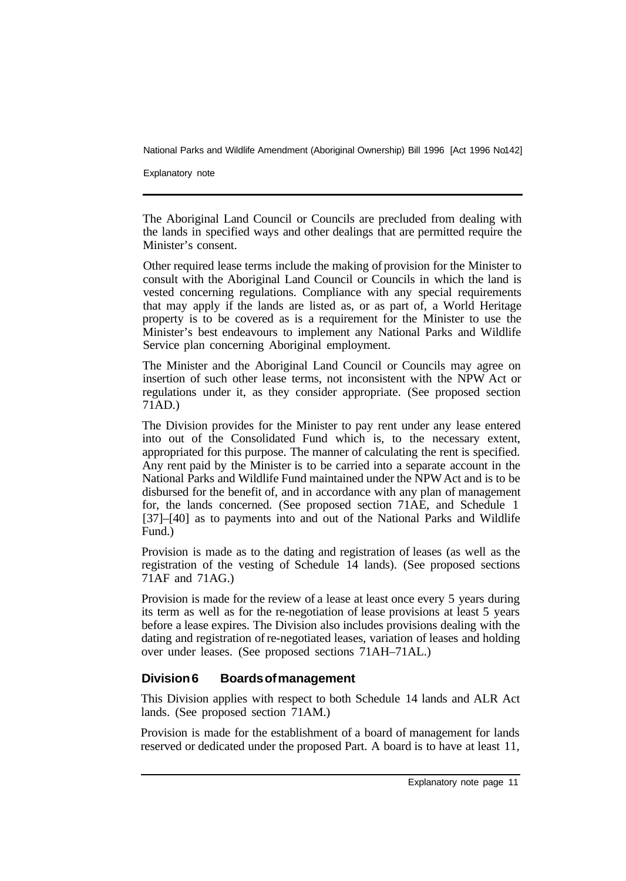Explanatory note

The Aboriginal Land Council or Councils are precluded from dealing with the lands in specified ways and other dealings that are permitted require the Minister's consent.

Other required lease terms include the making of provision for the Minister to consult with the Aboriginal Land Council or Councils in which the land is vested concerning regulations. Compliance with any special requirements that may apply if the lands are listed as, or as part of, a World Heritage property is to be covered as is a requirement for the Minister to use the Minister's best endeavours to implement any National Parks and Wildlife Service plan concerning Aboriginal employment.

The Minister and the Aboriginal Land Council or Councils may agree on insertion of such other lease terms, not inconsistent with the NPW Act or regulations under it, as they consider appropriate. (See proposed section 71AD.)

The Division provides for the Minister to pay rent under any lease entered into out of the Consolidated Fund which is, to the necessary extent, appropriated for this purpose. The manner of calculating the rent is specified. Any rent paid by the Minister is to be carried into a separate account in the National Parks and Wildlife Fund maintained under the NPW Act and is to be disbursed for the benefit of, and in accordance with any plan of management for, the lands concerned. (See proposed section 71AE, and Schedule 1 [37]–[40] as to payments into and out of the National Parks and Wildlife Fund.)

Provision is made as to the dating and registration of leases (as well as the registration of the vesting of Schedule 14 lands). (See proposed sections 71AF and 71AG.)

Provision is made for the review of a lease at least once every 5 years during its term as well as for the re-negotiation of lease provisions at least 5 years before a lease expires. The Division also includes provisions dealing with the dating and registration of re-negotiated leases, variation of leases and holding over under leases. (See proposed sections 71AH–71AL.)

# **Division 6 Boards of management**

This Division applies with respect to both Schedule 14 lands and ALR Act lands. (See proposed section 71AM.)

Provision is made for the establishment of a board of management for lands reserved or dedicated under the proposed Part. A board is to have at least 11,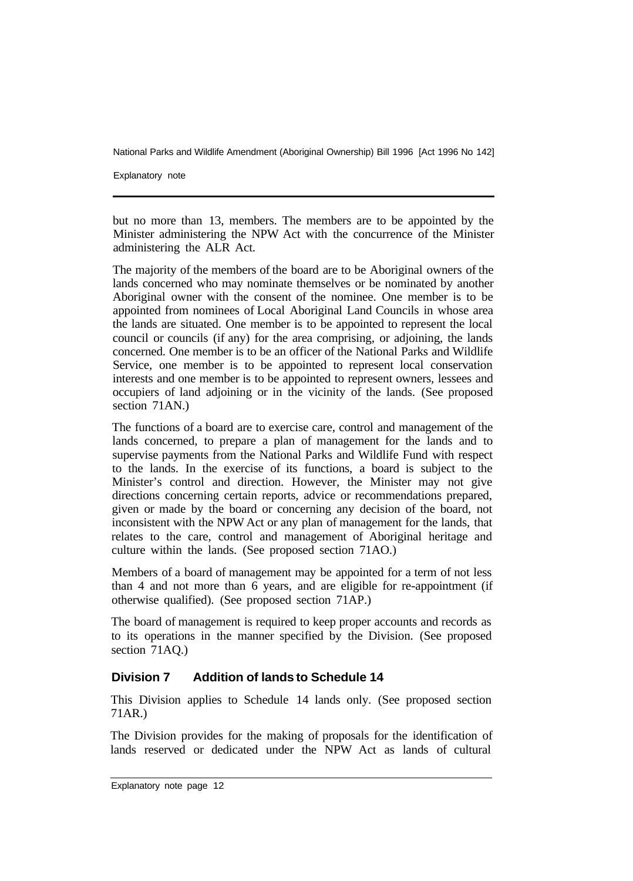Explanatory note

but no more than 13, members. The members are to be appointed by the Minister administering the NPW Act with the concurrence of the Minister administering the ALR Act.

The majority of the members of the board are to be Aboriginal owners of the lands concerned who may nominate themselves or be nominated by another Aboriginal owner with the consent of the nominee. One member is to be appointed from nominees of Local Aboriginal Land Councils in whose area the lands are situated. One member is to be appointed to represent the local council or councils (if any) for the area comprising, or adjoining, the lands concerned. One member is to be an officer of the National Parks and Wildlife Service, one member is to be appointed to represent local conservation interests and one member is to be appointed to represent owners, lessees and occupiers of land adjoining or in the vicinity of the lands. (See proposed section 71AN.)

The functions of a board are to exercise care, control and management of the lands concerned, to prepare a plan of management for the lands and to supervise payments from the National Parks and Wildlife Fund with respect to the lands. In the exercise of its functions, a board is subject to the Minister's control and direction. However, the Minister may not give directions concerning certain reports, advice or recommendations prepared, given or made by the board or concerning any decision of the board, not inconsistent with the NPW Act or any plan of management for the lands, that relates to the care, control and management of Aboriginal heritage and culture within the lands. (See proposed section 71AO.)

Members of a board of management may be appointed for a term of not less than 4 and not more than 6 years, and are eligible for re-appointment (if otherwise qualified). (See proposed section 71AP.)

The board of management is required to keep proper accounts and records as to its operations in the manner specified by the Division. (See proposed section 71AQ.)

# **Division 7 Addition of lands to Schedule 14**

This Division applies to Schedule 14 lands only. (See proposed section 71AR.)

The Division provides for the making of proposals for the identification of lands reserved or dedicated under the NPW Act as lands of cultural

Explanatory note page 12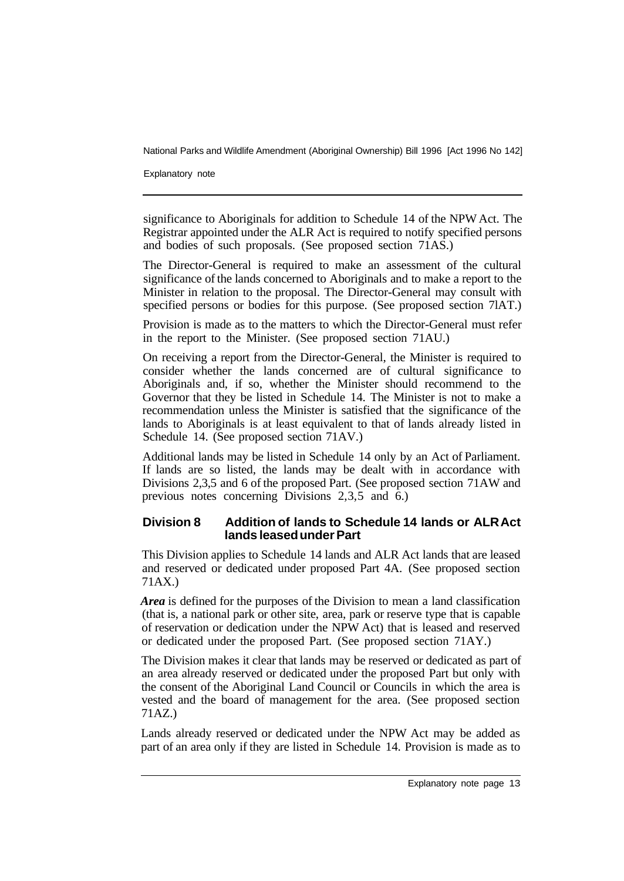Explanatory note

significance to Aboriginals for addition to Schedule 14 of the NPW Act. The Registrar appointed under the ALR Act is required to notify specified persons and bodies of such proposals. (See proposed section 71AS.)

The Director-General is required to make an assessment of the cultural significance of the lands concerned to Aboriginals and to make a report to the Minister in relation to the proposal. The Director-General may consult with specified persons or bodies for this purpose. (See proposed section 7lAT.)

Provision is made as to the matters to which the Director-General must refer in the report to the Minister. (See proposed section 71AU.)

On receiving a report from the Director-General, the Minister is required to consider whether the lands concerned are of cultural significance to Aboriginals and, if so, whether the Minister should recommend to the Governor that they be listed in Schedule 14. The Minister is not to make a recommendation unless the Minister is satisfied that the significance of the lands to Aboriginals is at least equivalent to that of lands already listed in Schedule 14. (See proposed section 71AV.)

Additional lands may be listed in Schedule 14 only by an Act of Parliament. If lands are so listed, the lands may be dealt with in accordance with Divisions 2,3,5 and 6 of the proposed Part. (See proposed section 71AW and previous notes concerning Divisions  $2,3,5$  and 6.)

#### **Division 8 Addition of lands to Schedule 14 lands or ALR Act lands leased under Part**

This Division applies to Schedule 14 lands and ALR Act lands that are leased and reserved or dedicated under proposed Part 4A. (See proposed section 71AX.)

*Area* is defined for the purposes of the Division to mean a land classification (that is, a national park or other site, area, park or reserve type that is capable of reservation or dedication under the NPW Act) that is leased and reserved or dedicated under the proposed Part. (See proposed section 71AY.)

The Division makes it clear that lands may be reserved or dedicated as part of an area already reserved or dedicated under the proposed Part but only with the consent of the Aboriginal Land Council or Councils in which the area is vested and the board of management for the area. (See proposed section 71AZ.)

Lands already reserved or dedicated under the NPW Act may be added as part of an area only if they are listed in Schedule 14. Provision is made as to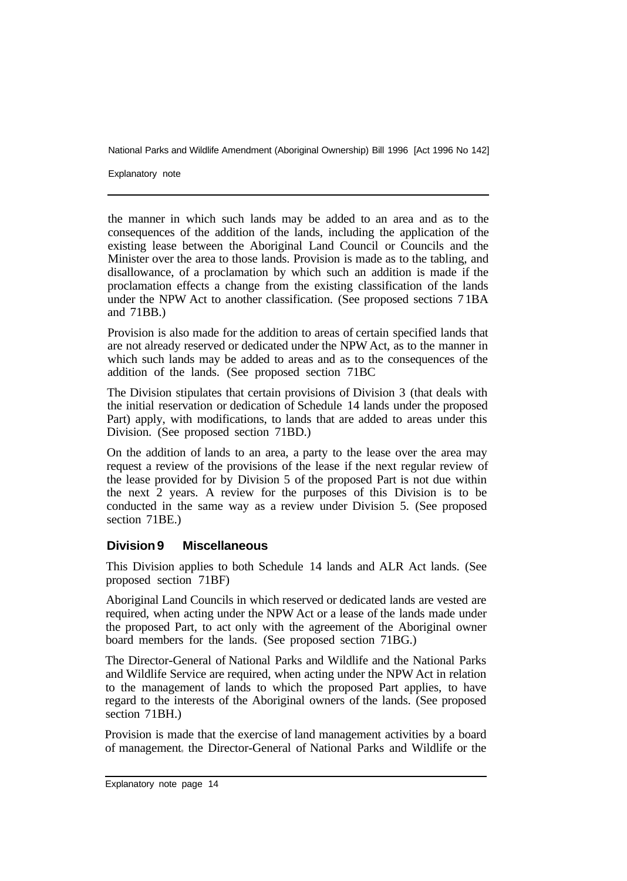Explanatory note

the manner in which such lands may be added to an area and as to the consequences of the addition of the lands, including the application of the existing lease between the Aboriginal Land Council or Councils and the Minister over the area to those lands. Provision is made as to the tabling, and disallowance, of a proclamation by which such an addition is made if the proclamation effects a change from the existing classification of the lands under the NPW Act to another classification. (See proposed sections 7 1BA and 71BB.)

Provision is also made for the addition to areas of certain specified lands that are not already reserved or dedicated under the NPW Act, as to the manner in which such lands may be added to areas and as to the consequences of the addition of the lands. (See proposed section 71BC

The Division stipulates that certain provisions of Division 3 (that deals with the initial reservation or dedication of Schedule 14 lands under the proposed Part) apply, with modifications, to lands that are added to areas under this Division. (See proposed section 71BD.)

On the addition of lands to an area, a party to the lease over the area may request a review of the provisions of the lease if the next regular review of the lease provided for by Division 5 of the proposed Part is not due within the next 2 years. A review for the purposes of this Division is to be conducted in the same way as a review under Division 5. (See proposed section 71BE.)

#### **Division 9 Miscellaneous**

This Division applies to both Schedule 14 lands and ALR Act lands. (See proposed section 71BF)

Aboriginal Land Councils in which reserved or dedicated lands are vested are required, when acting under the NPW Act or a lease of the lands made under the proposed Part, to act only with the agreement of the Aboriginal owner board members for the lands. (See proposed section 71BG.)

The Director-General of National Parks and Wildlife and the National Parks and Wildlife Service are required, when acting under the NPW Act in relation to the management of lands to which the proposed Part applies, to have regard to the interests of the Aboriginal owners of the lands. (See proposed section 71BH.)

Provision is made that the exercise of land management activities by a board of management, the Director-General of National Parks and Wildlife or the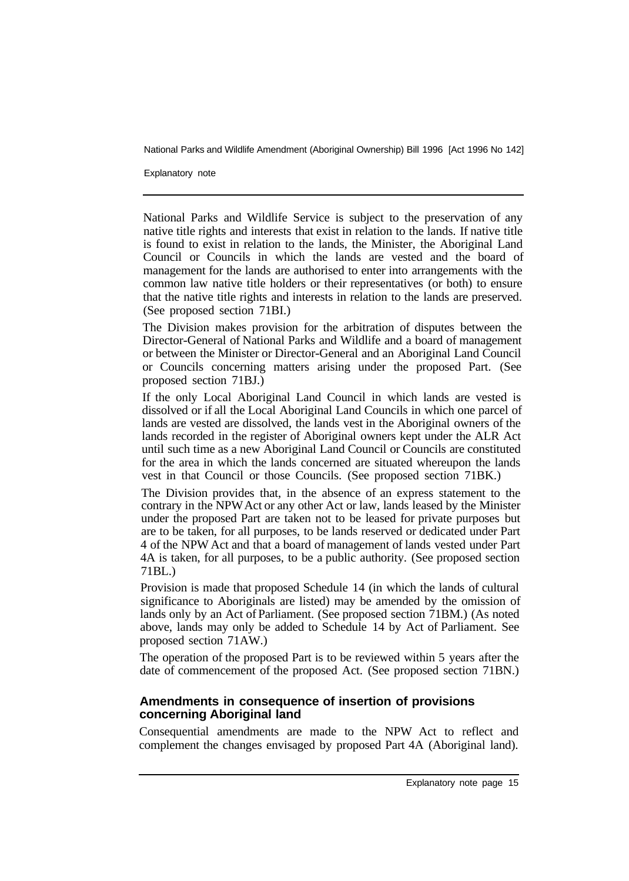Explanatory note

National Parks and Wildlife Service is subject to the preservation of any native title rights and interests that exist in relation to the lands. If native title is found to exist in relation to the lands, the Minister, the Aboriginal Land Council or Councils in which the lands are vested and the board of management for the lands are authorised to enter into arrangements with the common law native title holders or their representatives (or both) to ensure that the native title rights and interests in relation to the lands are preserved. (See proposed section 71BI.)

The Division makes provision for the arbitration of disputes between the Director-General of National Parks and Wildlife and a board of management or between the Minister or Director-General and an Aboriginal Land Council or Councils concerning matters arising under the proposed Part. (See proposed section 71BJ.)

If the only Local Aboriginal Land Council in which lands are vested is dissolved or if all the Local Aboriginal Land Councils in which one parcel of lands are vested are dissolved, the lands vest in the Aboriginal owners of the lands recorded in the register of Aboriginal owners kept under the ALR Act until such time as a new Aboriginal Land Council or Councils are constituted for the area in which the lands concerned are situated whereupon the lands vest in that Council or those Councils. (See proposed section 71BK.)

The Division provides that, in the absence of an express statement to the contrary in the NPW Act or any other Act or law, lands leased by the Minister under the proposed Part are taken not to be leased for private purposes but are to be taken, for all purposes, to be lands reserved or dedicated under Part 4 of the NPW Act and that a board of management of lands vested under Part 4A is taken, for all purposes, to be a public authority. (See proposed section 71BL.)

Provision is made that proposed Schedule 14 (in which the lands of cultural significance to Aboriginals are listed) may be amended by the omission of lands only by an Act of Parliament. (See proposed section 71BM.) (As noted above, lands may only be added to Schedule 14 by Act of Parliament. See proposed section 71AW.)

The operation of the proposed Part is to be reviewed within 5 years after the date of commencement of the proposed Act. (See proposed section 71BN.)

#### **Amendments in consequence of insertion of provisions concerning Aboriginal land**

Consequential amendments are made to the NPW Act to reflect and complement the changes envisaged by proposed Part 4A (Aboriginal land).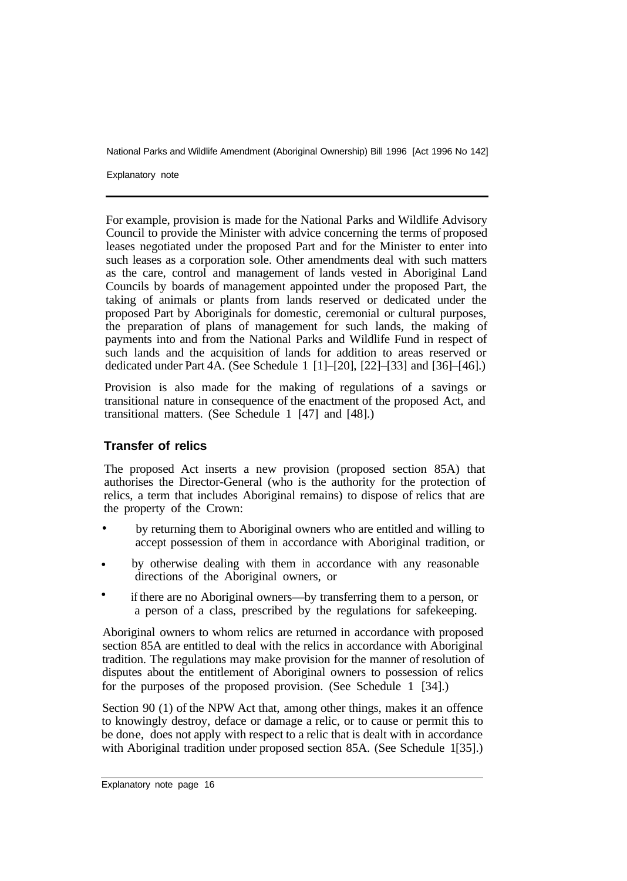Explanatory note

For example, provision is made for the National Parks and Wildlife Advisory Council to provide the Minister with advice concerning the terms of proposed leases negotiated under the proposed Part and for the Minister to enter into such leases as a corporation sole. Other amendments deal with such matters as the care, control and management of lands vested in Aboriginal Land Councils by boards of management appointed under the proposed Part, the taking of animals or plants from lands reserved or dedicated under the proposed Part by Aboriginals for domestic, ceremonial or cultural purposes, the preparation of plans of management for such lands, the making of payments into and from the National Parks and Wildlife Fund in respect of such lands and the acquisition of lands for addition to areas reserved or dedicated under Part 4A. (See Schedule 1 [1]–[20], [22]–[33] and [36]–[46].)

Provision is also made for the making of regulations of a savings or transitional nature in consequence of the enactment of the proposed Act, and transitional matters. (See Schedule 1 [47] and [48].)

# **Transfer of relics**

The proposed Act inserts a new provision (proposed section 85A) that authorises the Director-General (who is the authority for the protection of relics, a term that includes Aboriginal remains) to dispose of relics that are the property of the Crown:

- by returning them to Aboriginal owners who are entitled and willing to accept possession of them in accordance with Aboriginal tradition, or •
- by otherwise dealing with them in accordance with any reasonable directions of the Aboriginal owners, or •
- if there are no Aboriginal owners—by transferring them to a person, or a person of a class, prescribed by the regulations for safekeeping. •

Aboriginal owners to whom relics are returned in accordance with proposed section 85A are entitled to deal with the relics in accordance with Aboriginal tradition. The regulations may make provision for the manner of resolution of disputes about the entitlement of Aboriginal owners to possession of relics for the purposes of the proposed provision. (See Schedule 1 [34].)

Section 90 (1) of the NPW Act that, among other things, makes it an offence to knowingly destroy, deface or damage a relic, or to cause or permit this to be done, does not apply with respect to a relic that is dealt with in accordance with Aboriginal tradition under proposed section 85A. (See Schedule 1[35].)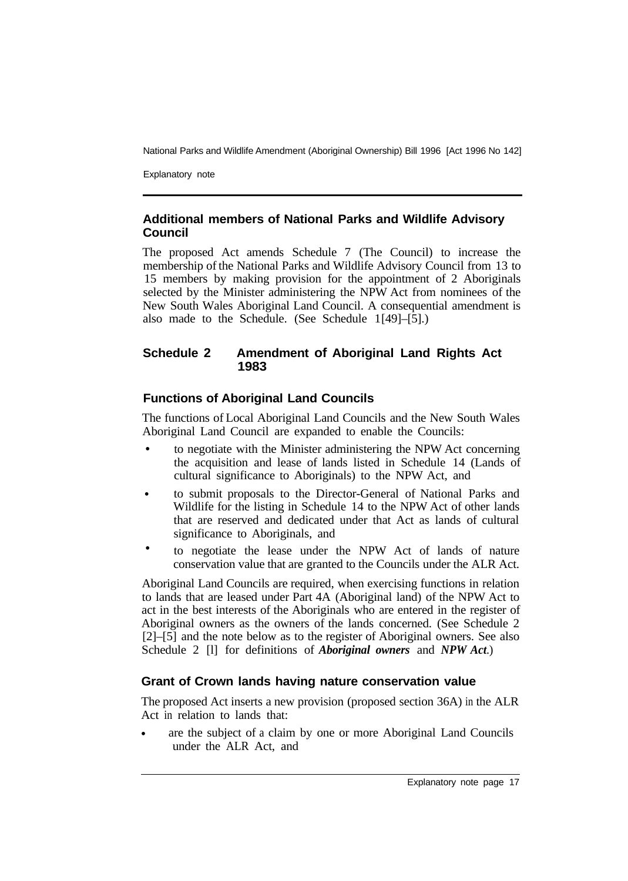Explanatory note

#### **Additional members of National Parks and Wildlife Advisory Council**

The proposed Act amends Schedule 7 (The Council) to increase the membership of the National Parks and Wildlife Advisory Council from 13 to 15 members by making provision for the appointment of 2 Aboriginals selected by the Minister administering the NPW Act from nominees of the New South Wales Aboriginal Land Council. A consequential amendment is also made to the Schedule. (See Schedule  $1[49]-[5]$ .)

# **Schedule 2 Amendment of Aboriginal Land Rights Act 1983**

# **Functions of Aboriginal Land Councils**

The functions of Local Aboriginal Land Councils and the New South Wales Aboriginal Land Council are expanded to enable the Councils:

- to negotiate with the Minister administering the NPW Act concerning the acquisition and lease of lands listed in Schedule 14 (Lands of cultural significance to Aboriginals) to the NPW Act, and •
- to submit proposals to the Director-General of National Parks and Wildlife for the listing in Schedule 14 to the NPW Act of other lands that are reserved and dedicated under that Act as lands of cultural significance to Aboriginals, and •
- to negotiate the lease under the NPW Act of lands of nature conservation value that are granted to the Councils under the ALR Act. •

Aboriginal Land Councils are required, when exercising functions in relation to lands that are leased under Part 4A (Aboriginal land) of the NPW Act to act in the best interests of the Aboriginals who are entered in the register of Aboriginal owners as the owners of the lands concerned. (See Schedule 2 [2]–[5] and the note below as to the register of Aboriginal owners. See also Schedule 2 [l] for definitions of *Aboriginal owners* and *NPW Act*.)

# **Grant of Crown lands having nature conservation value**

The proposed Act inserts a new provision (proposed section 36A) in the ALR Act in relation to lands that:

are the subject of a claim by one or more Aboriginal Land Councils under the ALR Act, and •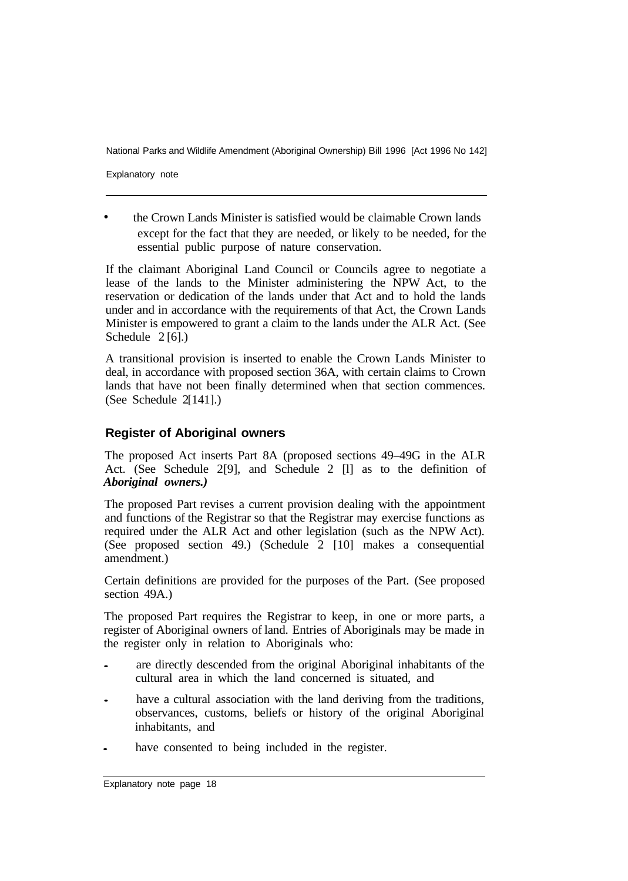Explanatory note

the Crown Lands Minister is satisfied would be claimable Crown lands except for the fact that they are needed, or likely to be needed, for the essential public purpose of nature conservation. •

If the claimant Aboriginal Land Council or Councils agree to negotiate a lease of the lands to the Minister administering the NPW Act, to the reservation or dedication of the lands under that Act and to hold the lands under and in accordance with the requirements of that Act, the Crown Lands Minister is empowered to grant a claim to the lands under the ALR Act. (See Schedule  $2[6]$ .)

A transitional provision is inserted to enable the Crown Lands Minister to deal, in accordance with proposed section 36A, with certain claims to Crown lands that have not been finally determined when that section commences. (See Schedule  $2[141]$ .)

#### **Register of Aboriginal owners**

The proposed Act inserts Part 8A (proposed sections 49–49G in the ALR Act. (See Schedule 2<sup>[9]</sup>, and Schedule 2<sup>[1]</sup> as to the definition of *Aboriginal owners.)* 

The proposed Part revises a current provision dealing with the appointment and functions of the Registrar so that the Registrar may exercise functions as required under the ALR Act and other legislation (such as the NPW Act). (See proposed section 49.) (Schedule 2 [10] makes a consequential amendment.)

Certain definitions are provided for the purposes of the Part. (See proposed section 49A.)

The proposed Part requires the Registrar to keep, in one or more parts, a register of Aboriginal owners of land. Entries of Aboriginals may be made in the register only in relation to Aboriginals who:

- are directly descended from the original Aboriginal inhabitants of the cultural area in which the land concerned is situated, and
- have a cultural association with the land deriving from the traditions, observances, customs, beliefs or history of the original Aboriginal inhabitants, and
- have consented to being included in the register.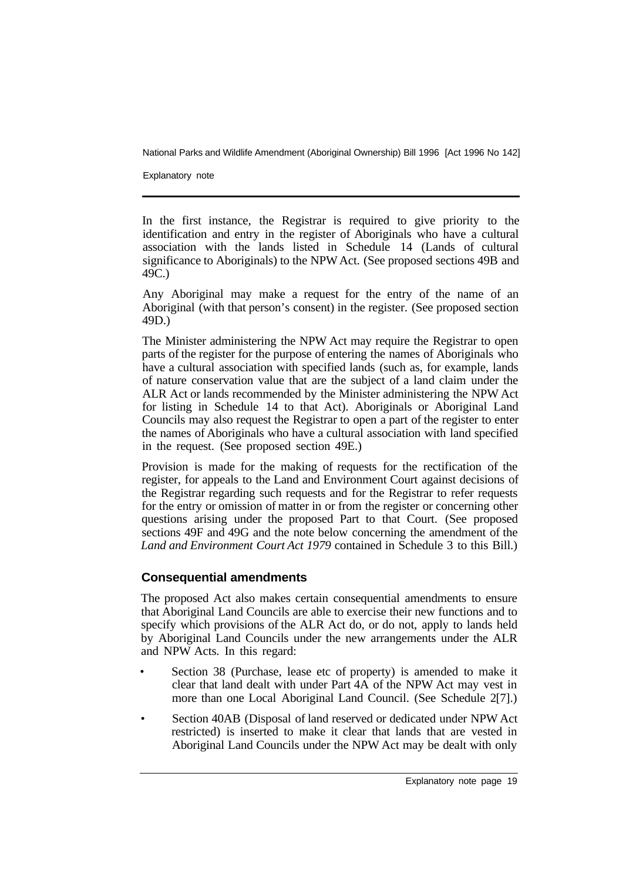Explanatory note

In the first instance, the Registrar is required to give priority to the identification and entry in the register of Aboriginals who have a cultural association with the lands listed in Schedule 14 (Lands of cultural significance to Aboriginals) to the NPW Act. (See proposed sections 49B and 49C.)

Any Aboriginal may make a request for the entry of the name of an Aboriginal (with that person's consent) in the register. (See proposed section 49D.)

The Minister administering the NPW Act may require the Registrar to open parts of the register for the purpose of entering the names of Aboriginals who have a cultural association with specified lands (such as, for example, lands of nature conservation value that are the subject of a land claim under the ALR Act or lands recommended by the Minister administering the NPW Act for listing in Schedule 14 to that Act). Aboriginals or Aboriginal Land Councils may also request the Registrar to open a part of the register to enter the names of Aboriginals who have a cultural association with land specified in the request. (See proposed section 49E.)

Provision is made for the making of requests for the rectification of the register, for appeals to the Land and Environment Court against decisions of the Registrar regarding such requests and for the Registrar to refer requests for the entry or omission of matter in or from the register or concerning other questions arising under the proposed Part to that Court. (See proposed sections 49F and 49G and the note below concerning the amendment of the *Land and Environment Court Act 1979* contained in Schedule 3 to this Bill.)

# **Consequential amendments**

The proposed Act also makes certain consequential amendments to ensure that Aboriginal Land Councils are able to exercise their new functions and to specify which provisions of the ALR Act do, or do not, apply to lands held by Aboriginal Land Councils under the new arrangements under the ALR and NPW Acts. In this regard:

- Section 38 (Purchase, lease etc of property) is amended to make it clear that land dealt with under Part 4A of the NPW Act may vest in more than one Local Aboriginal Land Council. (See Schedule 2[7].)
- Section 40AB (Disposal of land reserved or dedicated under NPW Act restricted) is inserted to make it clear that lands that are vested in Aboriginal Land Councils under the NPW Act may be dealt with only